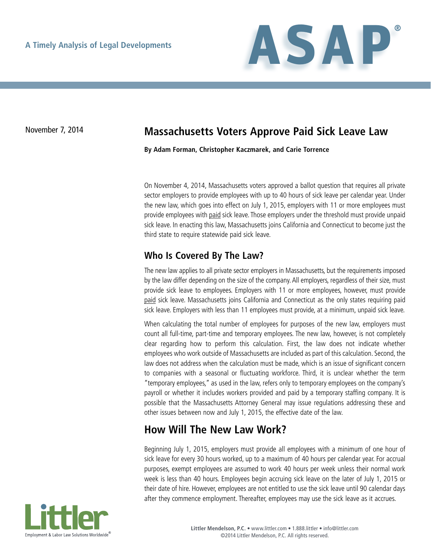

## November 7, 2014 **Massachusetts Voters Approve Paid Sick Leave Law**

**By Adam Forman, Christopher Kaczmarek, and Carie Torrence**

On November 4, 2014, Massachusetts voters approved a ballot question that requires all private sector employers to provide employees with up to 40 hours of sick leave per calendar year. Under the new law, which goes into effect on July 1, 2015, employers with 11 or more employees must provide employees with paid sick leave. Those employers under the threshold must provide unpaid sick leave. In enacting this law, Massachusetts joins California and Connecticut to become just the third state to require statewide paid sick leave.

#### **Who Is Covered By The Law?**

The new law applies to all private sector employers in Massachusetts, but the requirements imposed by the law differ depending on the size of the company. All employers, regardless of their size, must provide sick leave to employees. Employers with 11 or more employees, however, must provide paid sick leave. Massachusetts joins California and Connecticut as the only states requiring paid sick leave. Employers with less than 11 employees must provide, at a minimum, unpaid sick leave.

When calculating the total number of employees for purposes of the new law, employers must count all full-time, part-time and temporary employees. The new law, however, is not completely clear regarding how to perform this calculation. First, the law does not indicate whether employees who work outside of Massachusetts are included as part of this calculation. Second, the law does not address when the calculation must be made, which is an issue of significant concern to companies with a seasonal or fluctuating workforce. Third, it is unclear whether the term "temporary employees," as used in the law, refers only to temporary employees on the company's payroll or whether it includes workers provided and paid by a temporary staffing company. It is possible that the Massachusetts Attorney General may issue regulations addressing these and other issues between now and July 1, 2015, the effective date of the law.

# **How Will The New Law Work?**

Beginning July 1, 2015, employers must provide all employees with a minimum of one hour of sick leave for every 30 hours worked, up to a maximum of 40 hours per calendar year. For accrual purposes, exempt employees are assumed to work 40 hours per week unless their normal work week is less than 40 hours. Employees begin accruing sick leave on the later of July 1, 2015 or their date of hire. However, employees are not entitled to use the sick leave until 90 calendar days after they commence employment. Thereafter, employees may use the sick leave as it accrues.

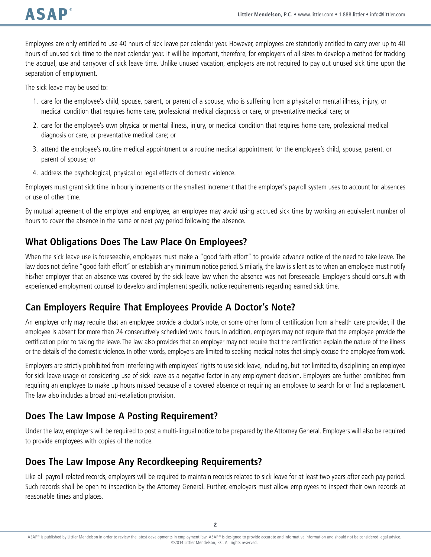Employees are only entitled to use 40 hours of sick leave per calendar year. However, employees are statutorily entitled to carry over up to 40 hours of unused sick time to the next calendar year. It will be important, therefore, for employers of all sizes to develop a method for tracking the accrual, use and carryover of sick leave time. Unlike unused vacation, employers are not required to pay out unused sick time upon the separation of employment.

The sick leave may be used to:

- 1. care for the employee's child, spouse, parent, or parent of a spouse, who is suffering from a physical or mental illness, injury, or medical condition that requires home care, professional medical diagnosis or care, or preventative medical care; or
- 2. care for the employee's own physical or mental illness, injury, or medical condition that requires home care, professional medical diagnosis or care, or preventative medical care; or
- 3. attend the employee's routine medical appointment or a routine medical appointment for the employee's child, spouse, parent, or parent of spouse; or
- 4. address the psychological, physical or legal effects of domestic violence.

Employers must grant sick time in hourly increments or the smallest increment that the employer's payroll system uses to account for absences or use of other time.

By mutual agreement of the employer and employee, an employee may avoid using accrued sick time by working an equivalent number of hours to cover the absence in the same or next pay period following the absence.

#### **What Obligations Does The Law Place On Employees?**

When the sick leave use is foreseeable, employees must make a "good faith effort" to provide advance notice of the need to take leave. The law does not define "good faith effort" or establish any minimum notice period. Similarly, the law is silent as to when an employee must notify his/her employer that an absence was covered by the sick leave law when the absence was not foreseeable. Employers should consult with experienced employment counsel to develop and implement specific notice requirements regarding earned sick time.

## **Can Employers Require That Employees Provide A Doctor's Note?**

An employer only may require that an employee provide a doctor's note, or some other form of certification from a health care provider, if the employee is absent for more than 24 consecutively scheduled work hours. In addition, employers may not require that the employee provide the certification prior to taking the leave. The law also provides that an employer may not require that the certification explain the nature of the illness or the details of the domestic violence. In other words, employers are limited to seeking medical notes that simply excuse the employee from work.

Employers are strictly prohibited from interfering with employees' rights to use sick leave, including, but not limited to, disciplining an employee for sick leave usage or considering use of sick leave as a negative factor in any employment decision. Employers are further prohibited from requiring an employee to make up hours missed because of a covered absence or requiring an employee to search for or find a replacement. The law also includes a broad anti-retaliation provision.

#### **Does The Law Impose A Posting Requirement?**

Under the law, employers will be required to post a multi-lingual notice to be prepared by the Attorney General. Employers will also be required to provide employees with copies of the notice.

## **Does The Law Impose Any Recordkeeping Requirements?**

Like all payroll-related records, employers will be required to maintain records related to sick leave for at least two years after each pay period. Such records shall be open to inspection by the Attorney General. Further, employers must allow employees to inspect their own records at reasonable times and places.